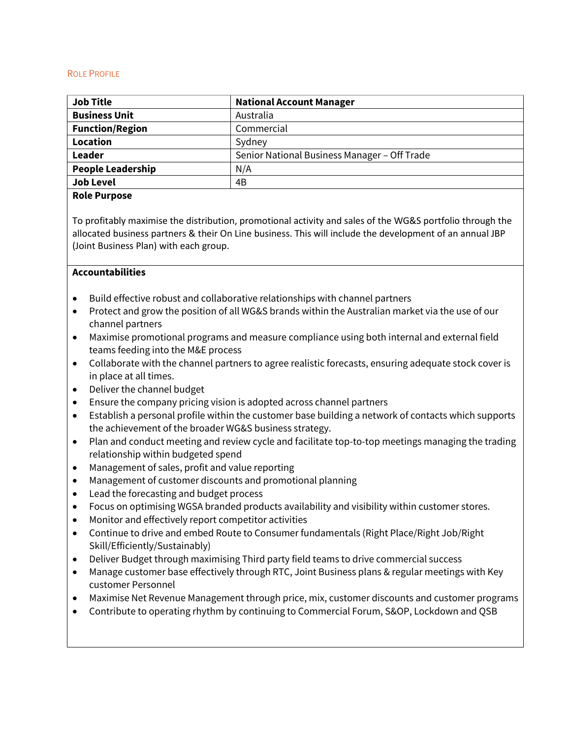### ROLE PROFILE

| <b>Job Title</b>         | <b>National Account Manager</b>              |
|--------------------------|----------------------------------------------|
| <b>Business Unit</b>     | Australia                                    |
| <b>Function/Region</b>   | Commercial                                   |
| Location                 | Sydney                                       |
| Leader                   | Senior National Business Manager - Off Trade |
| <b>People Leadership</b> | N/A                                          |
| <b>Job Level</b>         | 4B                                           |

### **Role Purpose**

To profitably maximise the distribution, promotional activity and sales of the WG&S portfolio through the allocated business partners & their On Line business. This will include the development of an annual JBP (Joint Business Plan) with each group.

### **Accountabilities**

- Build effective robust and collaborative relationships with channel partners
- Protect and grow the position of all WG&S brands within the Australian market via the use of our channel partners
- Maximise promotional programs and measure compliance using both internal and external field teams feeding into the M&E process
- Collaborate with the channel partners to agree realistic forecasts, ensuring adequate stock cover is in place at all times.
- Deliver the channel budget
- Ensure the company pricing vision is adopted across channel partners
- Establish a personal profile within the customer base building a network of contacts which supports the achievement of the broader WG&S business strategy.
- Plan and conduct meeting and review cycle and facilitate top-to-top meetings managing the trading relationship within budgeted spend
- Management of sales, profit and value reporting
- Management of customer discounts and promotional planning
- Lead the forecasting and budget process
- Focus on optimising WGSA branded products availability and visibility within customer stores.
- Monitor and effectively report competitor activities
- Continue to drive and embed Route to Consumer fundamentals (Right Place/Right Job/Right Skill/Efficiently/Sustainably)
- Deliver Budget through maximising Third party field teams to drive commercial success
- Manage customer base effectively through RTC, Joint Business plans & regular meetings with Key customer Personnel
- Maximise Net Revenue Management through price, mix, customer discounts and customer programs
- Contribute to operating rhythm by continuing to Commercial Forum, S&OP, Lockdown and QSB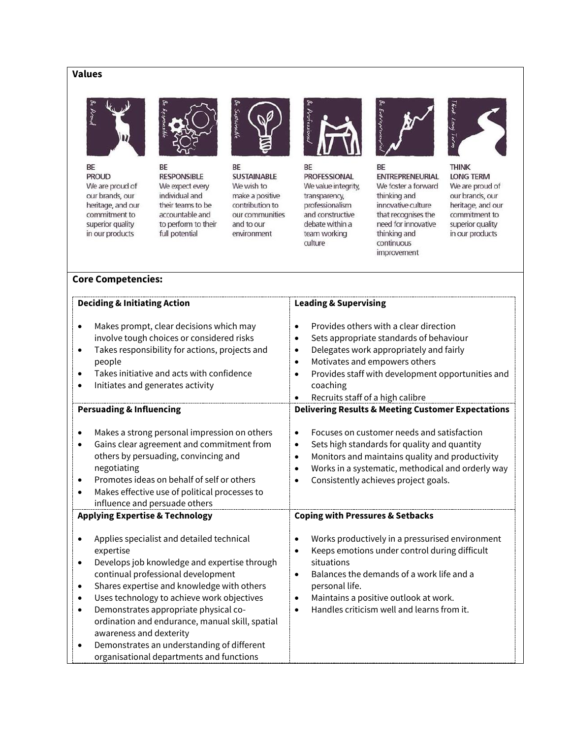# **Values**



BE

**PROUD** We are proud of our brands, our heritage, and our commitment to superior quality in our products



BE **RESPONSIBLE** We expect every individual and their teams to be accountable and to perform to their full potential



BE **SUSTAINABLE** We wish to make a positive contribution to our communities and to our environment



BE **PROFESSIONAL** We value integrity, transparency, professionalism and constructive debate within a team working culture



BE **ENTREPRENEURIAL** We foster a forward thinking and innovative culture that recognises the need for innovative thinking and continuous improvement



**THINK LONG TERM** We are proud of our brands, our heritage, and our commitment to superior quality in our products

### **Core Competencies:**

| <b>Deciding &amp; Initiating Action</b>                                                                                                                                                                                                                                                                                                                                                                                                                                                                            | <b>Leading &amp; Supervising</b>                                                                                                                                                                                                                                                                                                    |
|--------------------------------------------------------------------------------------------------------------------------------------------------------------------------------------------------------------------------------------------------------------------------------------------------------------------------------------------------------------------------------------------------------------------------------------------------------------------------------------------------------------------|-------------------------------------------------------------------------------------------------------------------------------------------------------------------------------------------------------------------------------------------------------------------------------------------------------------------------------------|
| Makes prompt, clear decisions which may<br>involve tough choices or considered risks<br>Takes responsibility for actions, projects and<br>$\bullet$<br>people<br>Takes initiative and acts with confidence<br>Initiates and generates activity                                                                                                                                                                                                                                                                     | Provides others with a clear direction<br>$\bullet$<br>Sets appropriate standards of behaviour<br>$\bullet$<br>Delegates work appropriately and fairly<br>$\bullet$<br>Motivates and empowers others<br>$\bullet$<br>Provides staff with development opportunities and<br>$\bullet$<br>coaching<br>Recruits staff of a high calibre |
| <b>Persuading &amp; Influencing</b>                                                                                                                                                                                                                                                                                                                                                                                                                                                                                | <b>Delivering Results &amp; Meeting Customer Expectations</b>                                                                                                                                                                                                                                                                       |
| Makes a strong personal impression on others<br>Gains clear agreement and commitment from<br>$\bullet$<br>others by persuading, convincing and<br>negotiating<br>Promotes ideas on behalf of self or others<br>Makes effective use of political processes to<br>$\bullet$<br>influence and persuade others                                                                                                                                                                                                         | Focuses on customer needs and satisfaction<br>$\bullet$<br>Sets high standards for quality and quantity<br>$\bullet$<br>Monitors and maintains quality and productivity<br>$\bullet$<br>Works in a systematic, methodical and orderly way<br>$\bullet$<br>Consistently achieves project goals.<br>$\bullet$                         |
| <b>Applying Expertise &amp; Technology</b>                                                                                                                                                                                                                                                                                                                                                                                                                                                                         | <b>Coping with Pressures &amp; Setbacks</b>                                                                                                                                                                                                                                                                                         |
| Applies specialist and detailed technical<br>expertise<br>Develops job knowledge and expertise through<br>$\bullet$<br>continual professional development<br>Shares expertise and knowledge with others<br>$\bullet$<br>Uses technology to achieve work objectives<br>$\bullet$<br>Demonstrates appropriate physical co-<br>$\bullet$<br>ordination and endurance, manual skill, spatial<br>awareness and dexterity<br>Demonstrates an understanding of different<br>٠<br>organisational departments and functions | Works productively in a pressurised environment<br>Keeps emotions under control during difficult<br>$\bullet$<br>situations<br>Balances the demands of a work life and a<br>$\bullet$<br>personal life.<br>Maintains a positive outlook at work.<br>$\bullet$<br>Handles criticism well and learns from it.<br>$\bullet$            |